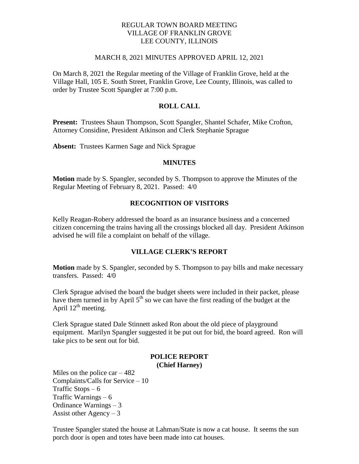## REGULAR TOWN BOARD MEETING VILLAGE OF FRANKLIN GROVE LEE COUNTY, ILLINOIS

#### MARCH 8, 2021 MINUTES APPROVED APRIL 12, 2021

On March 8, 2021 the Regular meeting of the Village of Franklin Grove, held at the Village Hall, 105 E. South Street, Franklin Grove, Lee County, Illinois, was called to order by Trustee Scott Spangler at 7:00 p.m.

# **ROLL CALL**

**Present:** Trustees Shaun Thompson, Scott Spangler, Shantel Schafer, Mike Crofton, Attorney Considine, President Atkinson and Clerk Stephanie Sprague

**Absent:** Trustees Karmen Sage and Nick Sprague

#### **MINUTES**

**Motion** made by S. Spangler, seconded by S. Thompson to approve the Minutes of the Regular Meeting of February 8, 2021. Passed: 4/0

# **RECOGNITION OF VISITORS**

Kelly Reagan-Robery addressed the board as an insurance business and a concerned citizen concerning the trains having all the crossings blocked all day. President Atkinson advised he will file a complaint on behalf of the village.

## **VILLAGE CLERK'S REPORT**

**Motion** made by S. Spangler, seconded by S. Thompson to pay bills and make necessary transfers. Passed: 4/0

Clerk Sprague advised the board the budget sheets were included in their packet, please have them turned in by April  $5<sup>th</sup>$  so we can have the first reading of the budget at the April  $12^{th}$  meeting.

Clerk Sprague stated Dale Stinnett asked Ron about the old piece of playground equipment. Marilyn Spangler suggested it be put out for bid, the board agreed. Ron will take pics to be sent out for bid.

#### **POLICE REPORT (Chief Harney)**

Miles on the police car  $-482$ Complaints/Calls for Service – 10 Traffic Stops  $-6$ Traffic Warnings – 6 Ordinance Warnings – 3 Assist other Agency  $-3$ 

Trustee Spangler stated the house at Lahman/State is now a cat house. It seems the sun porch door is open and totes have been made into cat houses.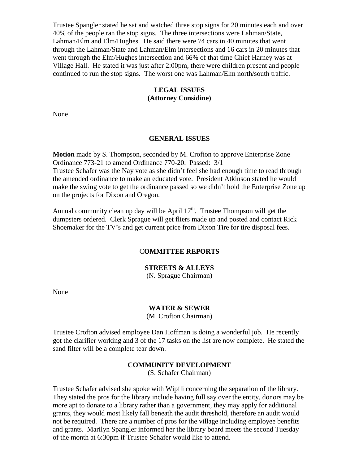Trustee Spangler stated he sat and watched three stop signs for 20 minutes each and over 40% of the people ran the stop signs. The three intersections were Lahman/State, Lahman/Elm and Elm/Hughes. He said there were 74 cars in 40 minutes that went through the Lahman/State and Lahman/Elm intersections and 16 cars in 20 minutes that went through the Elm/Hughes intersection and 66% of that time Chief Harney was at Village Hall. He stated it was just after 2:00pm, there were children present and people continued to run the stop signs. The worst one was Lahman/Elm north/south traffic.

## **LEGAL ISSUES (Attorney Considine)**

None

#### **GENERAL ISSUES**

**Motion** made by S. Thompson, seconded by M. Crofton to approve Enterprise Zone Ordinance 773-21 to amend Ordinance 770-20. Passed: 3/1 Trustee Schafer was the Nay vote as she didn't feel she had enough time to read through the amended ordinance to make an educated vote. President Atkinson stated he would make the swing vote to get the ordinance passed so we didn't hold the Enterprise Zone up on the projects for Dixon and Oregon.

Annual community clean up day will be April  $17<sup>th</sup>$ . Trustee Thompson will get the dumpsters ordered. Clerk Sprague will get fliers made up and posted and contact Rick Shoemaker for the TV's and get current price from Dixon Tire for tire disposal fees.

#### C**OMMITTEE REPORTS**

#### **STREETS & ALLEYS**

(N. Sprague Chairman)

None

#### **WATER & SEWER**

(M. Crofton Chairman)

Trustee Crofton advised employee Dan Hoffman is doing a wonderful job. He recently got the clarifier working and 3 of the 17 tasks on the list are now complete. He stated the sand filter will be a complete tear down.

#### **COMMUNITY DEVELOPMENT**

(S. Schafer Chairman)

Trustee Schafer advised she spoke with Wipfli concerning the separation of the library. They stated the pros for the library include having full say over the entity, donors may be more apt to donate to a library rather than a government, they may apply for additional grants, they would most likely fall beneath the audit threshold, therefore an audit would not be required. There are a number of pros for the village including employee benefits and grants. Marilyn Spangler informed her the library board meets the second Tuesday of the month at 6:30pm if Trustee Schafer would like to attend.